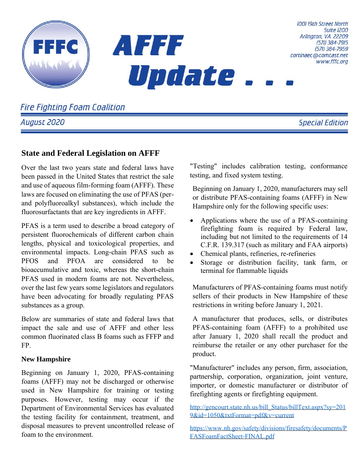

**Fire Fighting Foam Coalition** 

August 2020

# **State and Federal Legislation on AFFF**

Over the last two years state and federal laws have been passed in the United States that restrict the sale and use of aqueous film-forming foam (AFFF). These laws are focused on eliminating the use of PFAS (perand polyfluoroalkyl substances), which include the fluorosurfactants that are key ingredients in AFFF.

PFAS is a term used to describe a broad category of persistent fluorochemicals of different carbon chain lengths, physical and toxicological properties, and environmental impacts. Long-chain PFAS such as PFOS and PFOA are considered to be bioaccumulative and toxic, whereas the short-chain PFAS used in modern foams are not. Nevertheless, over the last few years some legislators and regulators have been advocating for broadly regulating PFAS substances as a group.

Below are summaries of state and federal laws that impact the sale and use of AFFF and other less common fluorinated class B foams such as FFFP and FP.

### **New Hampshire**

Beginning on January 1, 2020, PFAS-containing foams (AFFF) may not be discharged or otherwise used in New Hampshire for training or testing purposes. However, testing may occur if the Department of Environmental Services has evaluated the testing facility for containment, treatment, and disposal measures to prevent uncontrolled release of foam to the environment.

"Testing" includes calibration testing, conformance testing, and fixed system testing.

Beginning on January 1, 2020, manufacturers may sell or distribute PFAS-containing foams (AFFF) in New Hampshire only for the following specific uses:

- Applications where the use of a PFAS-containing firefighting foam is required by Federal law, including but not limited to the requirements of 14 C.F.R. 139.317 (such as military and FAA airports)
- Chemical plants, refineries, re-refineries
- Storage or distribution facility, tank farm, or terminal for flammable liquids

Manufacturers of PFAS-containing foams must notify sellers of their products in New Hampshire of these restrictions in writing before January 1, 2021.

A manufacturer that produces, sells, or distributes PFAS-containing foam (AFFF) to a prohibited use after January 1, 2020 shall recall the product and reimburse the retailer or any other purchaser for the product.

"Manufacturer" includes any person, firm, association, partnership, corporation, organization, joint venture, importer, or domestic manufacturer or distributor of firefighting agents or firefighting equipment.

[http://gencourt.state.nh.us/bill\\_Status/billText.aspx?sy=201](http://gencourt.state.nh.us/bill_Status/billText.aspx?sy=2019&id=1050&txtFormat=pdf&v=current) [9&id=1050&txtFormat=pdf&v=current](http://gencourt.state.nh.us/bill_Status/billText.aspx?sy=2019&id=1050&txtFormat=pdf&v=current)

[https://www.nh.gov/safety/divisions/firesafety/documents/P](https://www.nh.gov/safety/divisions/firesafety/documents/PFASFoamFactSheet-FINAL.pdf) [FASFoamFactSheet-FINAL.pdf](https://www.nh.gov/safety/divisions/firesafety/documents/PFASFoamFactSheet-FINAL.pdf)

**Suite 1200**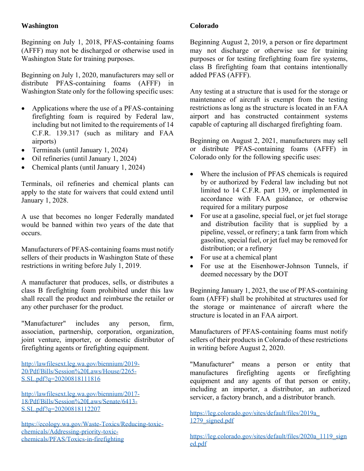### **Washington**

Beginning on July 1, 2018, PFAS-containing foams (AFFF) may not be discharged or otherwise used in Washington State for training purposes.

Beginning on July 1, 2020, manufacturers may sell or distribute PFAS-containing foams (AFFF) in Washington State only for the following specific uses:

- Applications where the use of a PFAS-containing firefighting foam is required by Federal law, including but not limited to the requirements of 14 C.F.R. 139.317 (such as military and FAA airports)
- Terminals (until January 1, 2024)
- Oil refineries (until January 1, 2024)
- Chemical plants (until January 1, 2024)

Terminals, oil refineries and chemical plants can apply to the state for waivers that could extend until January 1, 2028.

A use that becomes no longer Federally mandated would be banned within two years of the date that occurs.

Manufacturers of PFAS-containing foams must notify sellers of their products in Washington State of these restrictions in writing before July 1, 2019.

A manufacturer that produces, sells, or distributes a class B firefighting foam prohibited under this law shall recall the product and reimburse the retailer or any other purchaser for the product.

"Manufacturer" includes any person, firm, association, partnership, corporation, organization, joint venture, importer, or domestic distributor of firefighting agents or firefighting equipment.

[http://lawfilesext.leg.wa.gov/biennium/2019-](http://lawfilesext.leg.wa.gov/biennium/2019-20/Pdf/Bills/Session%20Laws/House/2265-S.SL.pdf?q=20200818111816) [20/Pdf/Bills/Session%20Laws/House/2265-](http://lawfilesext.leg.wa.gov/biennium/2019-20/Pdf/Bills/Session%20Laws/House/2265-S.SL.pdf?q=20200818111816) [S.SL.pdf?q=20200818111816](http://lawfilesext.leg.wa.gov/biennium/2019-20/Pdf/Bills/Session%20Laws/House/2265-S.SL.pdf?q=20200818111816)

[http://lawfilesext.leg.wa.gov/biennium/2017-](http://lawfilesext.leg.wa.gov/biennium/2017-18/Pdf/Bills/Session%20Laws/Senate/6413-S.SL.pdf?q=20200818112207) [18/Pdf/Bills/Session%20Laws/Senate/6413-](http://lawfilesext.leg.wa.gov/biennium/2017-18/Pdf/Bills/Session%20Laws/Senate/6413-S.SL.pdf?q=20200818112207) [S.SL.pdf?q=20200818112207](http://lawfilesext.leg.wa.gov/biennium/2017-18/Pdf/Bills/Session%20Laws/Senate/6413-S.SL.pdf?q=20200818112207)

[https://ecology.wa.gov/Waste-Toxics/Reducing-toxic](https://ecology.wa.gov/Waste-Toxics/Reducing-toxic-chemicals/Addressing-priority-toxic-chemicals/PFAS/Toxics-in-firefighting)[chemicals/Addressing-priority-toxic](https://ecology.wa.gov/Waste-Toxics/Reducing-toxic-chemicals/Addressing-priority-toxic-chemicals/PFAS/Toxics-in-firefighting)[chemicals/PFAS/Toxics-in-firefighting](https://ecology.wa.gov/Waste-Toxics/Reducing-toxic-chemicals/Addressing-priority-toxic-chemicals/PFAS/Toxics-in-firefighting)

### **Colorado**

Beginning August 2, 2019, a person or fire department may not discharge or otherwise use for training purposes or for testing firefighting foam fire systems, class B firefighting foam that contains intentionally added PFAS (AFFF).

Any testing at a structure that is used for the storage or maintenance of aircraft is exempt from the testing restrictions as long as the structure is located in an FAA airport and has constructed containment systems capable of capturing all discharged firefighting foam.

Beginning on August 2, 2021, manufacturers may sell or distribute PFAS-containing foams (AFFF) in Colorado only for the following specific uses:

- Where the inclusion of PFAS chemicals is required by or authorized by Federal law including but not limited to 14 C.F.R. part 139, or implemented in accordance with FAA guidance, or otherwise required for a military purpose
- For use at a gasoline, special fuel, or jet fuel storage and distribution facility that is supplied by a pipeline, vessel, or refinery; a tank farm from which gasoline, special fuel, or jet fuel may be removed for distribution; or a refinery
- For use at a chemical plant
- For use at the Eisenhower-Johnson Tunnels, if deemed necessary by the DOT

Beginning January 1, 2023, the use of PFAS-containing foam (AFFF) shall be prohibited at structures used for the storage or maintenance of aircraft where the structure is located in an FAA airport.

Manufacturers of PFAS-containing foams must notify sellers of their products in Colorado of these restrictions in writing before August 2, 2020.

"Manufacturer" means a person or entity that manufactures firefighting agents or firefighting equipment and any agents of that person or entity, including an importer, a distributor, an authorized servicer, a factory branch, and a distributor branch.

[https://leg.colorado.gov/sites/default/files/2019a\\_](https://leg.colorado.gov/sites/default/files/2019a_1279_signed.pdf) 1279 signed.pdf

[https://leg.colorado.gov/sites/default/files/2020a\\_1119\\_sign](https://leg.colorado.gov/sites/default/files/2020a_1119_signed.pdf) [ed.pdf](https://leg.colorado.gov/sites/default/files/2020a_1119_signed.pdf)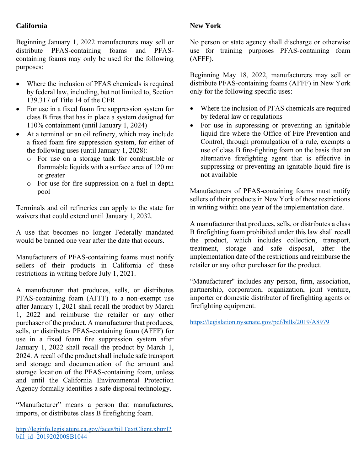## **California**

Beginning January 1, 2022 manufacturers may sell or distribute PFAS-containing foams and PFAScontaining foams may only be used for the following purposes:

- Where the inclusion of PFAS chemicals is required by federal law, including, but not limited to, Section 139.317 of Title 14 of the CFR
- For use in a fixed foam fire suppression system for class B fires that has in place a system designed for 110% containment (until January 1, 2024)
- At a terminal or an oil refinery, which may include a fixed foam fire suppression system, for either of the following uses (until January 1, 2028):
	- o For use on a storage tank for combustible or flammable liquids with a surface area of 120 m<sup>2</sup> or greater
	- o For use for fire suppression on a fuel-in-depth pool

Terminals and oil refineries can apply to the state for waivers that could extend until January 1, 2032.

A use that becomes no longer Federally mandated would be banned one year after the date that occurs.

Manufacturers of PFAS-containing foams must notify sellers of their products in California of these restrictions in writing before July 1, 2021.

A manufacturer that produces, sells, or distributes PFAS-containing foam (AFFF) to a non-exempt use after January 1, 2021 shall recall the product by March 1, 2022 and reimburse the retailer or any other purchaser of the product. A manufacturer that produces, sells, or distributes PFAS-containing foam (AFFF) for use in a fixed foam fire suppression system after January 1, 2022 shall recall the product by March 1, 2024. A recall of the product shall include safe transport and storage and documentation of the amount and storage location of the PFAS-containing foam, unless and until the California Environmental Protection Agency formally identifies a safe disposal technology.

"Manufacturer" means a person that manufactures, imports, or distributes class B firefighting foam.

### **New York**

No person or state agency shall discharge or otherwise use for training purposes PFAS-containing foam (AFFF).

Beginning May 18, 2022, manufacturers may sell or distribute PFAS-containing foams (AFFF) in New York only for the following specific uses:

- Where the inclusion of PFAS chemicals are required by federal law or regulations
- For use in suppressing or preventing an ignitable liquid fire where the Office of Fire Prevention and Control, through promulgation of a rule, exempts a use of class B fire-fighting foam on the basis that an alternative firefighting agent that is effective in suppressing or preventing an ignitable liquid fire is not available

Manufacturers of PFAS-containing foams must notify sellers of their products in New York of these restrictions in writing within one year of the implementation date.

A manufacturer that produces, sells, or distributes a class B firefighting foam prohibited under this law shall recall the product, which includes collection, transport, treatment, storage and safe disposal, after the implementation date of the restrictions and reimburse the retailer or any other purchaser for the product.

"Manufacturer" includes any person, firm, association, partnership, corporation, organization, joint venture, importer or domestic distributor of firefighting agents or firefighting equipment.

<https://legislation.nysenate.gov/pdf/bills/2019/A8979>

[http://leginfo.legislature.ca.gov/faces/billTextClient.xhtml?](http://leginfo.legislature.ca.gov/faces/billTextClient.xhtml?bill_id=201920200SB1044) [bill\\_id=201920200SB1044](http://leginfo.legislature.ca.gov/faces/billTextClient.xhtml?bill_id=201920200SB1044)